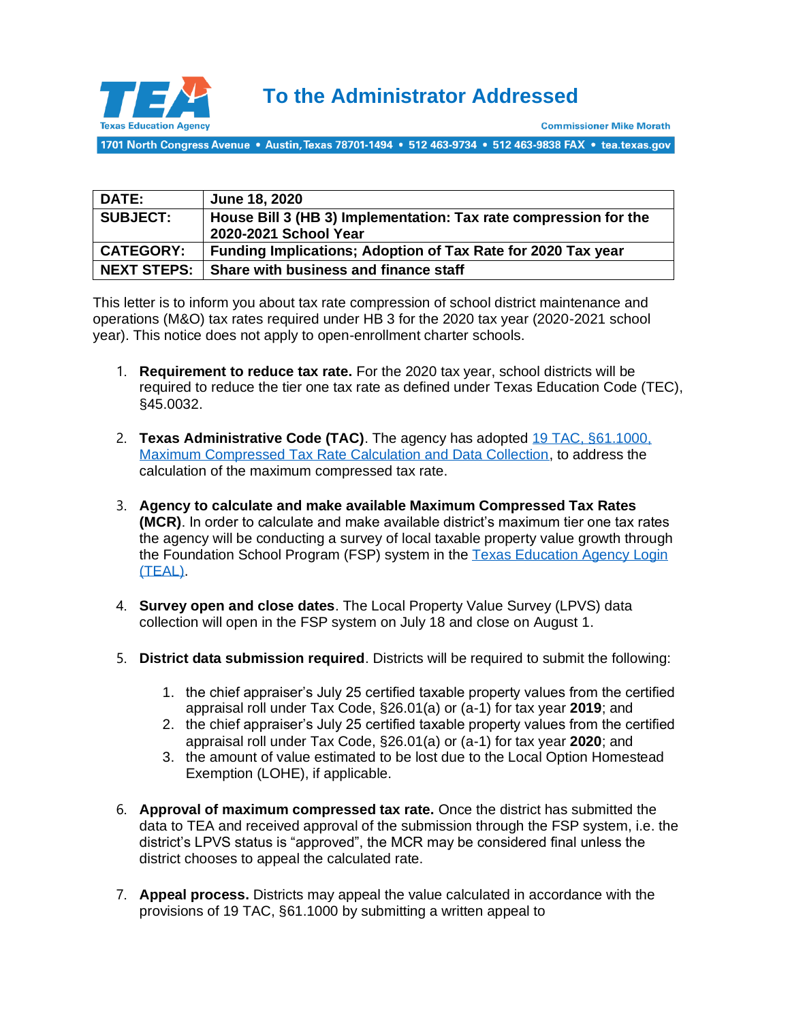

1701 North Congress Avenue • Austin, Texas 78701-1494 • 512 463-9734 • 512 463-9838 FAX • tea.texas.gov

| <b>DATE:</b>       | June 18, 2020                                                                             |
|--------------------|-------------------------------------------------------------------------------------------|
| <b>SUBJECT:</b>    | House Bill 3 (HB 3) Implementation: Tax rate compression for the<br>2020-2021 School Year |
| <b>CATEGORY:</b>   | Funding Implications; Adoption of Tax Rate for 2020 Tax year                              |
| <b>NEXT STEPS:</b> | Share with business and finance staff                                                     |

This letter is to inform you about tax rate compression of school district maintenance and operations (M&O) tax rates required under HB 3 for the 2020 tax year (2020-2021 school year). This notice does not apply to open-enrollment charter schools.

- 1. **Requirement to reduce tax rate.** For the 2020 tax year, school districts will be required to reduce the tier one tax rate as defined under Texas Education Code (TEC), §45.0032.
- 2. **Texas Administrative Code (TAC)**. The agency has adopted [19 TAC, §61.1000,](http://ritter.tea.state.tx.us/rules/tac/chapter061/ch61aa.html)  [Maximum Compressed Tax Rate Calculation and Data Collection,](http://ritter.tea.state.tx.us/rules/tac/chapter061/ch61aa.html) to address the calculation of the maximum compressed tax rate.
- 3. **Agency to calculate and make available Maximum Compressed Tax Rates (MCR)**. In order to calculate and make available district's maximum tier one tax rates the agency will be conducting a survey of local taxable property value growth through the Foundation School Program (FSP) system in the Texas Education Agency Login [\(TEAL\).](https://tealprod.tea.state.tx.us/)
- 4. **Survey open and close dates**. The Local Property Value Survey (LPVS) data collection will open in the FSP system on July 18 and close on August 1.
- 5. **District data submission required**. Districts will be required to submit the following:
	- 1. the chief appraiser's July 25 certified taxable property values from the certified appraisal roll under Tax Code, §26.01(a) or (a-1) for tax year **2019**; and
	- 2. the chief appraiser's July 25 certified taxable property values from the certified appraisal roll under Tax Code, §26.01(a) or (a-1) for tax year **2020**; and
	- 3. the amount of value estimated to be lost due to the Local Option Homestead Exemption (LOHE), if applicable.
- 6. **Approval of maximum compressed tax rate.** Once the district has submitted the data to TEA and received approval of the submission through the FSP system, i.e. the district's LPVS status is "approved", the MCR may be considered final unless the district chooses to appeal the calculated rate.
- 7. **Appeal process.** Districts may appeal the value calculated in accordance with the provisions of 19 TAC, §61.1000 by submitting a written appeal to